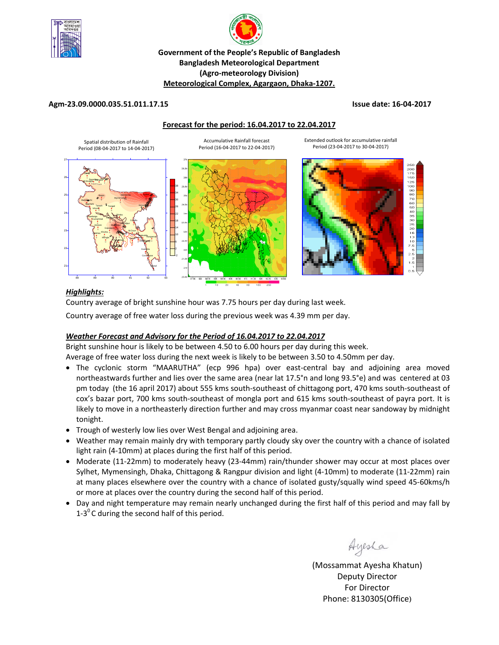



# **Government of the People's Republic of Bangladesh Bangladesh Meteorological Department (Agro‐meteorology Division) Meteorological Complex, Agargaon, Dhaka‐1207.**

### **Agm‐23.09.0000.035.51.011.17.15 Issue date: 16‐04‐2017**

#### **Forecast for the period: 16.04.2017 to 22.04.2017**



===<br>20C<br>17E  $25$ 90<br>80 70<br>60 50<br>40

Extended outlook for accumulative rainfall Period (23‐04‐2017 to 30‐04‐2017)

### *Highlights:*

Country average of bright sunshine hour was 7.75 hours per day during last week. Country average of free water loss during the previous week was 4.39 mm per day.

### *Weather Forecast and Advisory for the Period of 16.04.2017 to 22.04.2017*

Bright sunshine hour is likely to be between 4.50 to 6.00 hours per day during this week.

Average of free water loss during the next week is likely to be between 3.50 to 4.50mm per day.

- The cyclonic storm "MAARUTHA" (ecp 996 hpa) over east-central bay and adjoining area moved northeastwards further and lies over the same area (near lat 17.5°n and long 93.5°e) and was centered at 03 pm today (the 16 april 2017) about 555 kms south‐southeast of chittagong port, 470 kms south‐southeast of cox's bazar port, 700 kms south‐southeast of mongla port and 615 kms south‐southeast of payra port. It is likely to move in a northeasterly direction further and may cross myanmar coast near sandoway by midnight tonight.
- Trough of westerly low lies over West Bengal and adjoining area.
- Weather may remain mainly dry with temporary partly cloudy sky over the country with a chance of isolated light rain (4‐10mm) at places during the first half of this period.
- Moderate (11-22mm) to moderately heavy (23-44mm) rain/thunder shower may occur at most places over Sylhet, Mymensingh, Dhaka, Chittagong & Rangpur division and light (4‐10mm) to moderate (11‐22mm) rain at many places elsewhere over the country with a chance of isolated gusty/squally wind speed 45‐60kms/h or more at places over the country during the second half of this period.
- Day and night temperature may remain nearly unchanged during the first half of this period and may fall by 1-3 $\mathrm{^{0}}$ C during the second half of this period.

Ayesha

(Mossammat Ayesha Khatun) Deputy Director For Director Phone: 8130305(Office)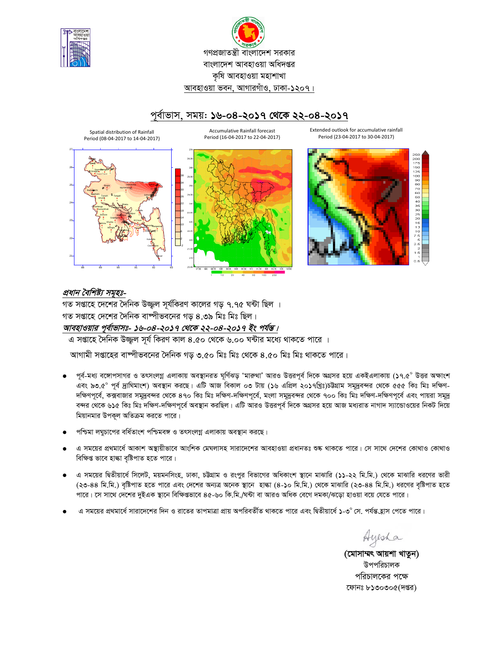



# পর্বাভাস, সময়: ১৬-০৪-২০১৭ থেকে ২২-০৪-২০১৭

Spatial distribution of Rainfall Period (08-04-2017 to 14-04-2017)

Accumulative Rainfall forecast Period (16-04-2017 to 22-04-2017)



Extended outlook for accumulative rainfall Period (23-04-2017 to 30-04-2017)



# প্রধান বৈশিষ্ট্য সমূহঃ-

গত সপ্তাহে দেশের দৈনিক উজ্জ্বল সূর্যকিরণ কালের গড় ৭.৭৫ ঘন্টা ছিল । গত সপ্তাহে দেশের দৈনিক বাষ্পীভবনের গড় ৪.৩৯ মিঃ মিঃ ছিল। আবহাওয়ার পূর্বাভাসঃ- ১৬-০৪-২০১৭ থেকে ২২-০৪-২০১৭ ইং পর্যন্ত।

এ সপ্তাহে দৈনিক উজ্জ্বল সূর্য কিরণ কাল ৪.৫০ থেকে ৬.০০ ঘন্টার মধ্যে থাকতে পারে ।

আগামী সপ্তাহের বাম্পীভবনের দৈনিক গড় ৩.৫০ মিঃ মিঃ থেকে ৪.৫০ মিঃ মিঃ থাকতে পারে।

- পূর্ব-মধ্য বঙ্গোপসাগর ও তৎসংলগ্ন এলাকায় অবস্থানরত ঘূর্ণিঝড় 'মারুথা' আরও উত্তরপূর্ব দিকে অগ্রসর হয়ে একইএলাকায় (১৭.৫° উত্তর অক্ষাংশ এবং ৯৩.৫° পূর্ব দ্রাঘিমাংশ) অবস্থান করছে। এটি আজ বিকাল ০৩ টায় (১৬ এপ্রিল ২০১৭খ্রিঃ)চট্টগ্রাম সমূদুবন্দর থেকে ৫৫৫ কিঃ মিঃ দক্ষিণ-দক্ষিণপূর্বে, কক্সবাজার সমুদ্রবন্দর থেকে ৪৭০ কিঃ মিঃ দক্ষিণ-দক্ষিণপূর্বে, মংলা সমুদ্রবন্দর থেকে ৭০০ কিঃ মিঃ দক্ষিণপূর্বে এবং পায়রা সমুদ্র বন্দর থেকে ৬১৫ কিঃ মিঃ দক্ষিণ-দক্ষিণপূর্বে অবস্থান করছিল। এটি আরও উত্তরপূর্ব দিকে অগ্রসর হয়ে আজ মধ্যরাত নাগাদ স্যাভোওয়ের নিকট দিয়ে মিয়ানমার উপকূল অতিক্রম করতে পারে।
- পশ্চিমা লঘুচাপের বর্ধিতাংশ পশ্চিমবঙ্গ ও তৎসংলগ্ন এলাকায় অবস্থান করছে।
- এ সময়ের প্রথমার্ধে আকাশ অস্থায়ীভাবে আংশিক মেঘলাসহ সারাদেশের আবহাওয়া প্রধানতঃ শুষ্ক থাকতে পারে। সে সাথে দেশের কোথাও কোথাও বিক্ষিপ্ত ভাবে হাল্কা বষ্টিপাত হতে পারে।
- এ সময়ের দ্বিতীয়ার্ধে সিলেট, ময়মনসিংহ, ঢাকা, চউগ্রাম ও রংপুর বিভাগের অধিকাংশ স্থানে মাঝারি (১১-২২ মি.মি.) থেকে মাঝারি ধরণের ভারী (২৩-৪৪ মি.মি.) বৃষ্টিপাত হতে পারে এবং দেশের অন্যত্র অনেক স্থানে হাল্কা (৪-১০ মি.মি.) থেকে মাঝারি (২৩-৪৪ মি.মি.) ধরণের বৃষ্টিপাত হতে পারে। সে সাথে দেশের দুইএক স্থানে বিক্ষিগুভাবে ৪৫-৬০ কি.মি./ঘন্টা বা আরও অধিক বেগে দমকা/ঝড়ো হাওয়া বয়ে যেতে পারে।
- এ সময়ের প্রথমার্ধে সারাদেশের দিন ও রাতের তাপমাত্রা প্রায় অপরিবর্তীত থাকতে পারে এবং দ্বিতীয়ার্ধে ১-৩° সে. পর্যন্ত হ্রাস পেতে পারে।

Ayesha

(মোসাম্মৎ আয়শা খাতুন) উপপরিচালক পরিচালকের পক্ষে ফোনঃ ৮১৩০৩০৫(দপ্তর)